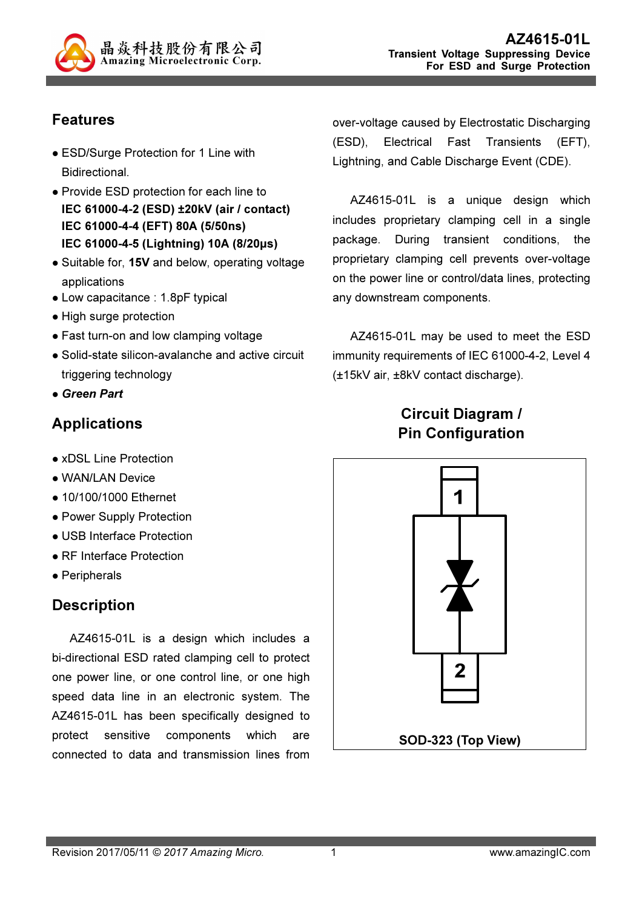

# Features

- ESD/Surge Protection for 1 Line with Bidirectional.
- Provide ESD protection for each line to IEC 61000-4-2 (ESD) ±20kV (air / contact) IEC 61000-4-4 (EFT) 80A (5/50ns) IEC 61000-4-5 (Lightning) 10A (8/20µs)
- Suitable for, 15V and below, operating voltage applications
- Low capacitance : 1.8pF typical
- High surge protection
- Fast turn-on and low clamping voltage
- Solid-state silicon-avalanche and active circuit triggering technology
- Green Part

# Applications

- xDSL Line Protection
- WAN/LAN Device
- 10/100/1000 Ethernet
- Power Supply Protection
- USB Interface Protection
- RF Interface Protection
- Peripherals

# **Description**

AZ4615-01L is a design which includes a bi-directional ESD rated clamping cell to protect one power line, or one control line, or one high speed data line in an electronic system. The AZ4615-01L has been specifically designed to protect sensitive components which are connected to data and transmission lines from

over-voltage caused by Electrostatic Discharging (ESD), Electrical Fast Transients (EFT), Lightning, and Cable Discharge Event (CDE).

AZ4615-01L is a unique design which includes proprietary clamping cell in a single package. During transient conditions, the proprietary clamping cell prevents over-voltage on the power line or control/data lines, protecting any downstream components.

AZ4615-01L may be used to meet the ESD immunity requirements of IEC 61000-4-2, Level 4 (±15kV air, ±8kV contact discharge).

# Circuit Diagram / Pin Configuration

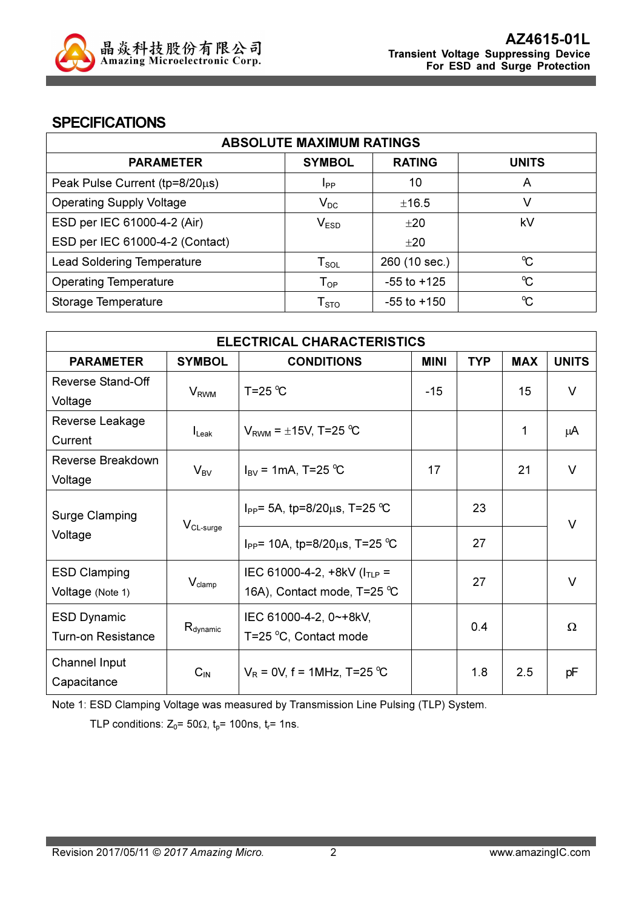

### **SPECIFICATIONS**

| <b>ABSOLUTE MAXIMUM RATINGS</b>   |                            |                 |                      |
|-----------------------------------|----------------------------|-----------------|----------------------|
| <b>PARAMETER</b>                  | <b>SYMBOL</b>              | <b>RATING</b>   | <b>UNITS</b>         |
| Peak Pulse Current (tp=8/20µs)    | <b>I</b> <sub>PP</sub>     | 10              | A                    |
| <b>Operating Supply Voltage</b>   | $V_{DC}$                   | ±16.5           | V                    |
| ESD per IEC 61000-4-2 (Air)       | V <sub>ESD</sub>           | ±20             | kV                   |
| ESD per IEC 61000-4-2 (Contact)   |                            | ±20             |                      |
| <b>Lead Soldering Temperature</b> | ${\sf T}_{\sf SOL}$        | 260 (10 sec.)   | $\mathrm{C}$         |
| <b>Operating Temperature</b>      | $\mathsf{T}_{\mathsf{OP}}$ | $-55$ to $+125$ | $\mathrm{C}^{\circ}$ |
| Storage Temperature               | ${\sf T}_{\text{STO}}$     | $-55$ to $+150$ | $\mathrm{C}^{\circ}$ |

| <b>ELECTRICAL CHARACTERISTICS</b> |                        |                                                |             |            |            |              |
|-----------------------------------|------------------------|------------------------------------------------|-------------|------------|------------|--------------|
| <b>PARAMETER</b>                  | <b>SYMBOL</b>          | <b>CONDITIONS</b>                              | <b>MINI</b> | <b>TYP</b> | <b>MAX</b> | <b>UNITS</b> |
| Reverse Stand-Off                 |                        | $T = 25$ °C                                    | $-15$       |            | 15         | $\vee$       |
| Voltage                           | <b>V<sub>RWM</sub></b> |                                                |             |            |            |              |
| Reverse Leakage                   |                        |                                                |             |            | 1          |              |
| Current                           | $I_{\text{L}eak}$      | $V_{RWM}$ = $\pm$ 15V, T=25 °C                 |             |            |            | μA           |
| Reverse Breakdown                 | $V_{BV}$               | $I_{\rm BV}$ = 1mA, T=25 °C                    | 17          |            | 21         | $\vee$       |
| Voltage                           |                        |                                                |             |            |            |              |
|                                   |                        | I <sub>PP</sub> = 5A, tp=8/20 $\mu$ s, T=25 °C |             | 23         |            |              |
| Surge Clamping                    | $V_{CL-surge}$         |                                                |             |            |            | $\vee$       |
| Voltage                           |                        | $I_{PP}$ = 10A, tp=8/20 $\mu$ s, T=25 °C       |             | 27         |            |              |
| <b>ESD Clamping</b>               |                        | IEC 61000-4-2, +8kV ( $I_{TLP}$ =              |             |            |            |              |
| Voltage (Note 1)                  | $V_{\text{clamp}}$     | 16A), Contact mode, T=25 °C                    |             | 27         |            | $\vee$       |
| <b>ESD Dynamic</b>                |                        | IEC 61000-4-2, 0~+8kV,                         |             |            |            |              |
| <b>Turn-on Resistance</b>         | $R_{\text{dynamic}}$   | T=25 °C, Contact mode                          | 0.4         |            | $\Omega$   |              |
| Channel Input                     |                        |                                                |             |            |            |              |
| Capacitance                       | $C_{IN}$               | $V_R$ = 0V, f = 1MHz, T=25 °C                  |             | 1.8        | 2.5        | рF           |

Note 1: ESD Clamping Voltage was measured by Transmission Line Pulsing (TLP) System.

TLP conditions:  $Z_0$ = 50 $\Omega$ ,  $t_p$ = 100ns,  $t_r$ = 1ns.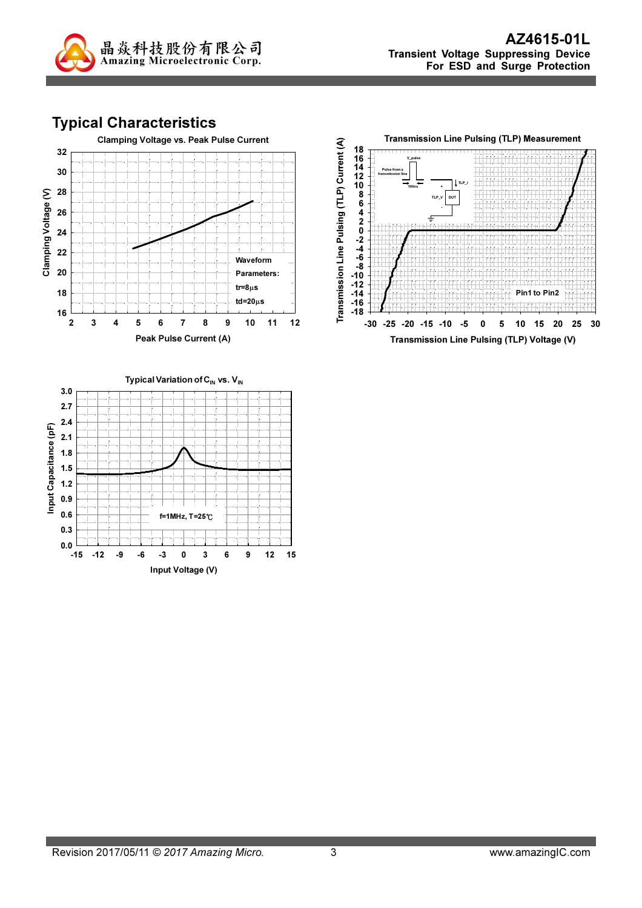

## Typical Characteristics





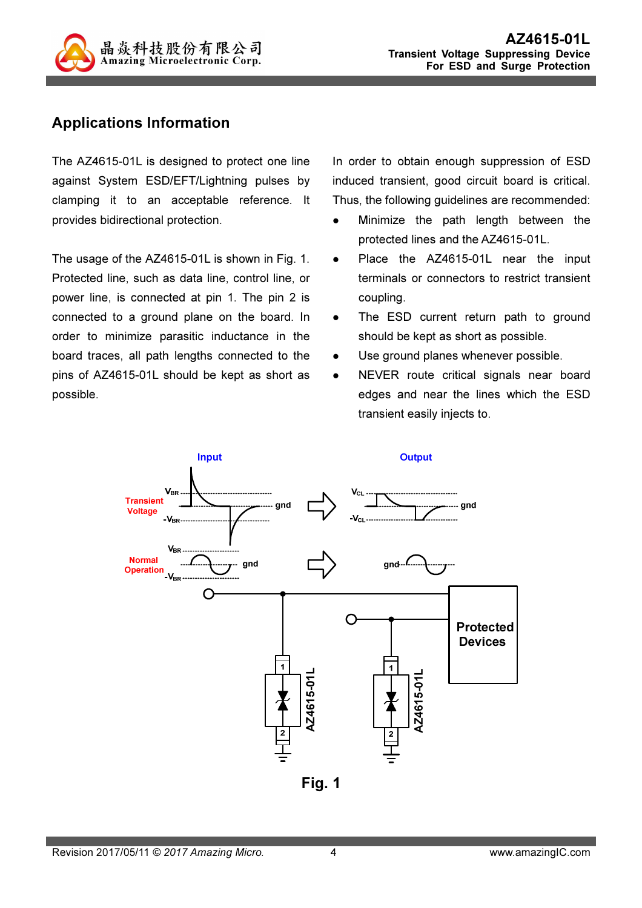

### Applications Information

The AZ4615-01L is designed to protect one line against System ESD/EFT/Lightning pulses by clamping it to an acceptable reference. It provides bidirectional protection.

The usage of the AZ4615-01L is shown in Fig. 1. Protected line, such as data line, control line, or power line, is connected at pin 1. The pin 2 is connected to a ground plane on the board. In order to minimize parasitic inductance in the board traces, all path lengths connected to the pins of AZ4615-01L should be kept as short as possible.

In order to obtain enough suppression of ESD induced transient, good circuit board is critical. Thus, the following guidelines are recommended:

- Minimize the path length between the protected lines and the AZ4615-01L.
- Place the AZ4615-01L near the input terminals or connectors to restrict transient coupling.
- The ESD current return path to ground should be kept as short as possible.
- Use ground planes whenever possible.
- NEVER route critical signals near board edges and near the lines which the ESD transient easily injects to.



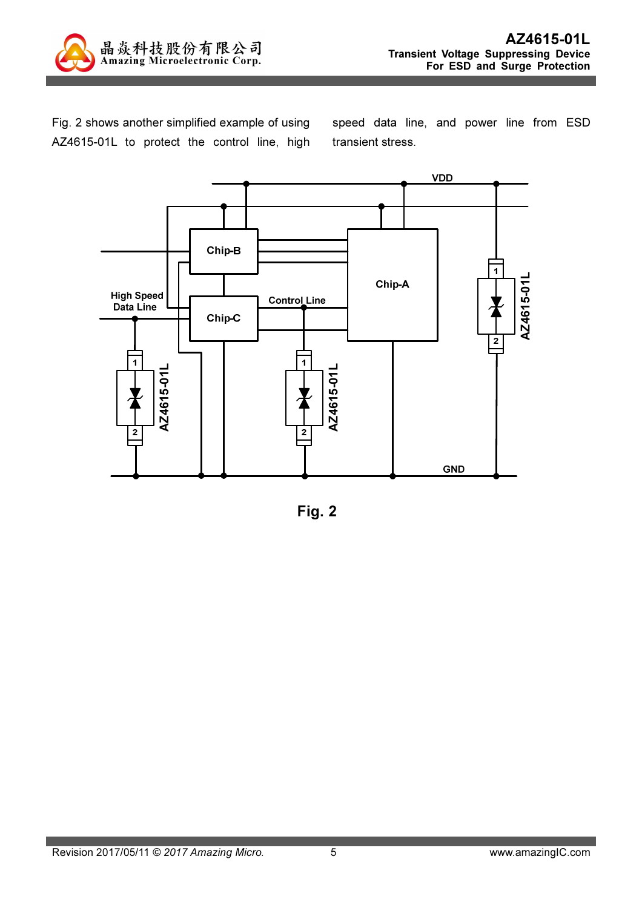

Fig. 2 shows another simplified example of using AZ4615-01L to protect the control line, high speed data line, and power line from ESD transient stress.



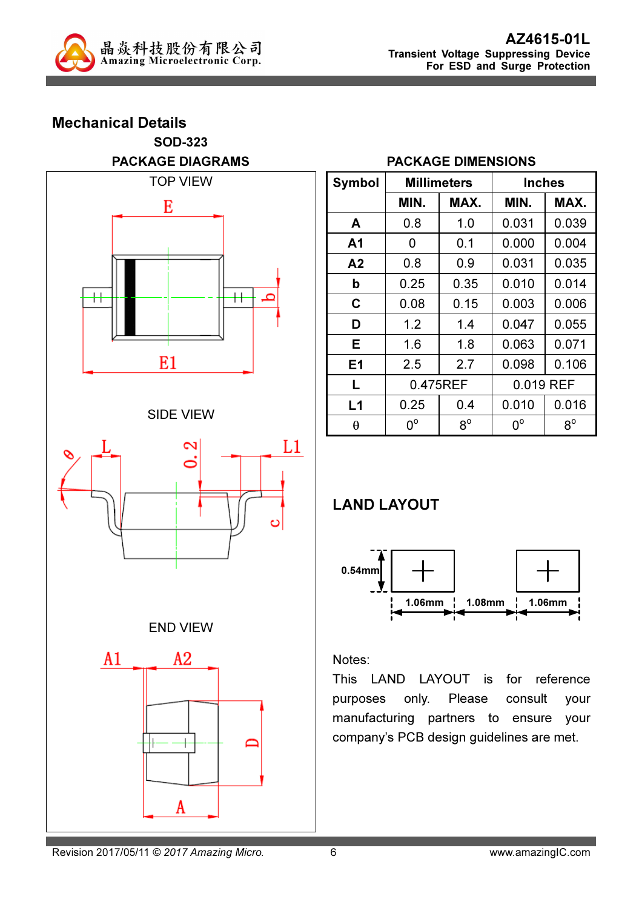

### Mechanical Details SOD-323 PACKAGE DIAGRAMS



#### SIDE VIEW



### END VIEW



#### PACKAGE DIMENSIONS

| Symbol | <b>Millimeters</b> |             | Inches      |             |  |
|--------|--------------------|-------------|-------------|-------------|--|
|        | MIN.               | MAX.        | MIN.        | MAX.        |  |
| A      | 0.8                | 1.0         | 0.031       | 0.039       |  |
| A1     | 0                  | 0.1         | 0.000       | 0.004       |  |
| A2     | 0.8                | 0.9         | 0.031       | 0.035       |  |
| b      | 0.25               | 0.35        | 0.010       | 0.014       |  |
| C      | 0.08               | 0.15        | 0.003       | 0.006       |  |
| D      | 1.2                | 1.4         | 0.047       | 0.055       |  |
| Е      | 1.6                | 1.8         | 0.063       | 0.071       |  |
| E1     | 2.5                | 2.7         | 0.098       | 0.106       |  |
| L      | 0.475REF           |             | 0.019 REF   |             |  |
| L1     | 0.25               | 0.4         | 0.010       | 0.016       |  |
| θ      | $0^{\circ}$        | $8^{\circ}$ | $0^{\circ}$ | $8^{\circ}$ |  |

# LAND LAYOUT



#### Notes:

This LAND LAYOUT is for reference purposes only. Please consult your manufacturing partners to ensure your company's PCB design guidelines are met.